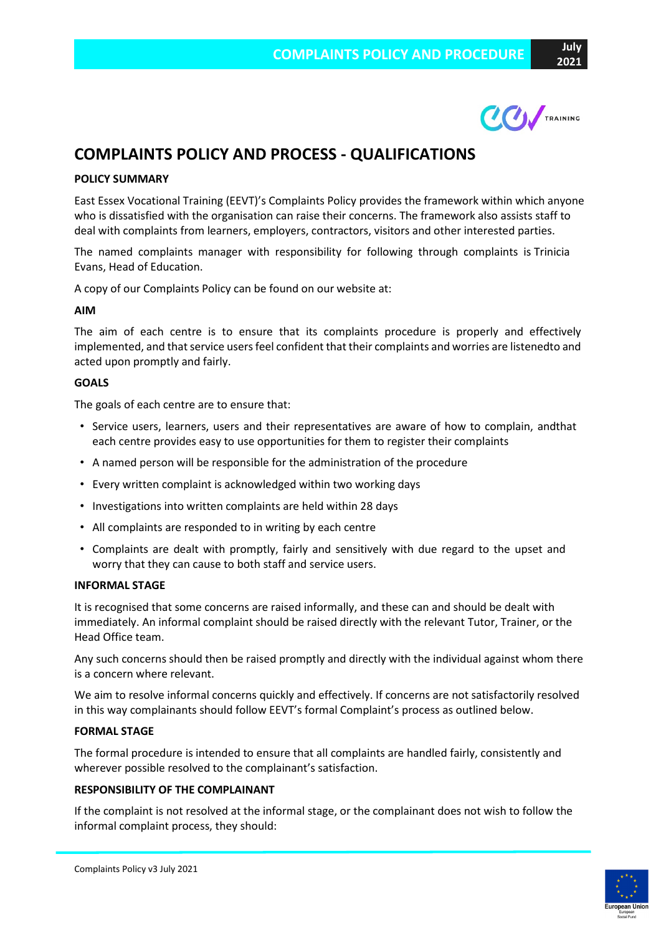# **COMPLAINTS POLICY AND PROCESS - QUALIFICATIONS**

## **POLICY SUMMARY**

East Essex Vocational Training (EEVT)'s Complaints Policy provides the framework within which anyone who is dissatisfied with the organisation can raise their concerns. The framework also assists staff to deal with complaints from learners, employers, contractors, visitors and other interested parties.

The named complaints manager with responsibility for following through complaints is Trinicia Evans, Head of Education.

A copy of our Complaints Policy can be found on our website at:

#### **AIM**

The aim of each centre is to ensure that its complaints procedure is properly and effectively implemented, and that service users feel confident that their complaints and worries are listenedto and acted upon promptly and fairly.

#### **GOALS**

The goals of each centre are to ensure that:

- Service users, learners, users and their representatives are aware of how to complain, andthat each centre provides easy to use opportunities for them to register their complaints
- A named person will be responsible for the administration of the procedure
- Every written complaint is acknowledged within two working days
- Investigations into written complaints are held within 28 days
- All complaints are responded to in writing by each centre
- Complaints are dealt with promptly, fairly and sensitively with due regard to the upset and worry that they can cause to both staff and service users.

#### **INFORMAL STAGE**

It is recognised that some concerns are raised informally, and these can and should be dealt with immediately. An informal complaint should be raised directly with the relevant Tutor, Trainer, or the Head Office team.

Any such concerns should then be raised promptly and directly with the individual against whom there is a concern where relevant.

We aim to resolve informal concerns quickly and effectively. If concerns are not satisfactorily resolved in this way complainants should follow EEVT's formal Complaint's process as outlined below.

#### **FORMAL STAGE**

The formal procedure is intended to ensure that all complaints are handled fairly, consistently and wherever possible resolved to the complainant's satisfaction.

#### **RESPONSIBILITY OF THE COMPLAINANT**

If the complaint is not resolved at the informal stage, or the complainant does not wish to follow the informal complaint process, they should: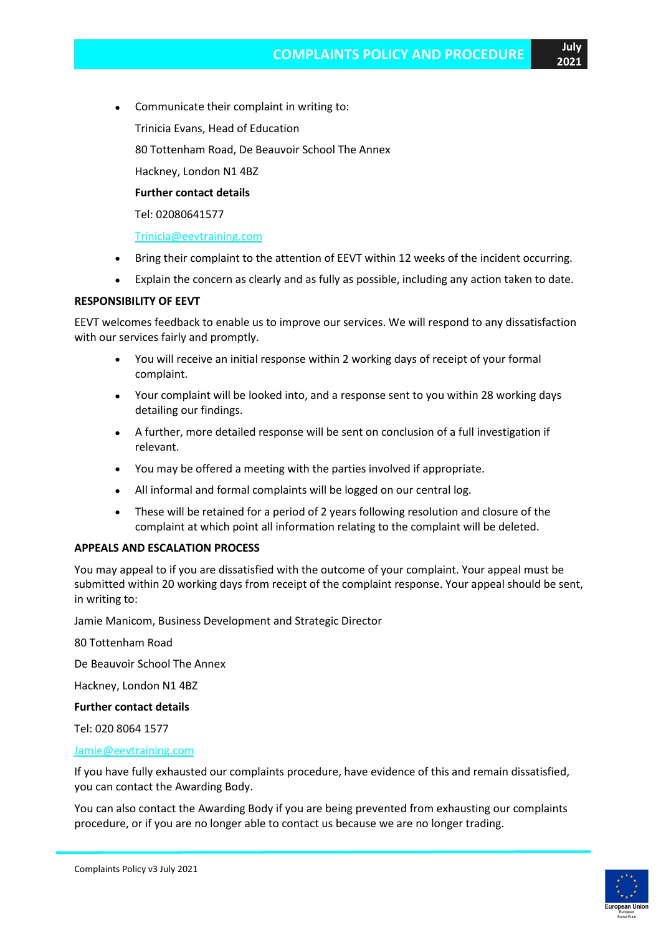- Communicate their complaint in writing to:
	- Trinicia Evans, Head of Education
	- 80 Tottenham Road, De Beauvoir School The Annex
	- Hackney, London N1 4BZ

## **Further contact details**

Tel: 02080641577

## [Trinicia@eevtraining.com](mailto:Trinicia@eevtraining.com)

- Bring their complaint to the attention of EEVT within 12 weeks of the incident occurring.
- Explain the concern as clearly and as fully as possible, including any action taken to date.

## **RESPONSIBILITY OF EEVT**

EEVT welcomes feedback to enable us to improve our services. We will respond to any dissatisfaction with our services fairly and promptly.

- You will receive an initial response within 2 working days of receipt of your formal complaint.
- Your complaint will be looked into, and a response sent to you within 28 working days detailing our findings.
- A further, more detailed response will be sent on conclusion of a full investigation if relevant.
- You may be offered a meeting with the parties involved if appropriate.
- All informal and formal complaints will be logged on our central log.
- These will be retained for a period of 2 years following resolution and closure of the complaint at which point all information relating to the complaint will be deleted.

## **APPEALS AND ESCALATION PROCESS**

You may appeal to if you are dissatisfied with the outcome of your complaint. Your appeal must be submitted within 20 working days from receipt of the complaint response. Your appeal should be sent, in writing to:

Jamie Manicom, Business Development and Strategic Director

80 Tottenham Road

De Beauvoir School The Annex

Hackney, London N1 4BZ

#### **Further contact details**

Tel: 020 8064 1577

## [Jamie@eevtraining.com](mailto:Jamie@eevtraining.com)

If you have fully exhausted our complaints procedure, have evidence of this and remain dissatisfied, you can contact the Awarding Body.

You can also contact the Awarding Body if you are being prevented from exhausting our complaints procedure, or if you are no longer able to contact us because we are no longer trading.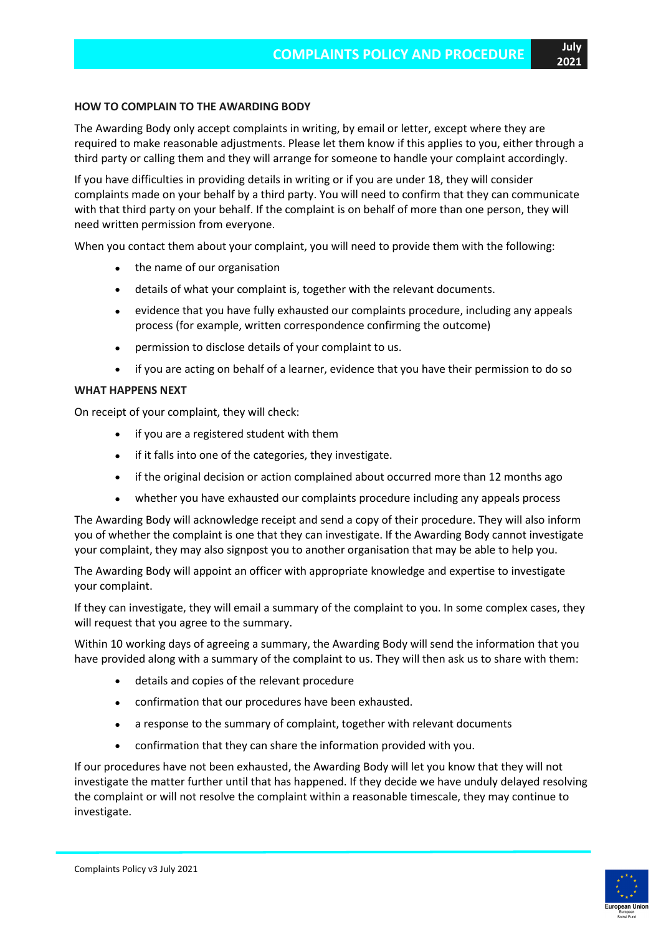#### **HOW TO COMPLAIN TO THE AWARDING BODY**

The Awarding Body only accept complaints in writing, by email or letter, except where they are required to make reasonable adjustments. Please let them know if this applies to you, either through a third party or calling them and they will arrange for someone to handle your complaint accordingly.

If you have difficulties in providing details in writing or if you are under 18, they will consider complaints made on your behalf by a third party. You will need to confirm that they can communicate with that third party on your behalf. If the complaint is on behalf of more than one person, they will need written permission from everyone.

When you contact them about your complaint, you will need to provide them with the following:

- the name of our organisation
- details of what your complaint is, together with the relevant documents.
- evidence that you have fully exhausted our complaints procedure, including any appeals process (for example, written correspondence confirming the outcome)
- permission to disclose details of your complaint to us.
- if you are acting on behalf of a learner, evidence that you have their permission to do so

#### **WHAT HAPPENS NEXT**

On receipt of your complaint, they will check:

- if you are a registered student with them
- if it falls into one of the categories, they investigate.
- if the original decision or action complained about occurred more than 12 months ago
- whether you have exhausted our complaints procedure including any appeals process

The Awarding Body will acknowledge receipt and send a copy of their procedure. They will also inform you of whether the complaint is one that they can investigate. If the Awarding Body cannot investigate your complaint, they may also signpost you to another organisation that may be able to help you.

The Awarding Body will appoint an officer with appropriate knowledge and expertise to investigate your complaint.

If they can investigate, they will email a summary of the complaint to you. In some complex cases, they will request that you agree to the summary.

Within 10 working days of agreeing a summary, the Awarding Body will send the information that you have provided along with a summary of the complaint to us. They will then ask us to share with them:

- details and copies of the relevant procedure
- confirmation that our procedures have been exhausted.
- a response to the summary of complaint, together with relevant documents
- confirmation that they can share the information provided with you.

If our procedures have not been exhausted, the Awarding Body will let you know that they will not investigate the matter further until that has happened. If they decide we have unduly delayed resolving the complaint or will not resolve the complaint within a reasonable timescale, they may continue to investigate.

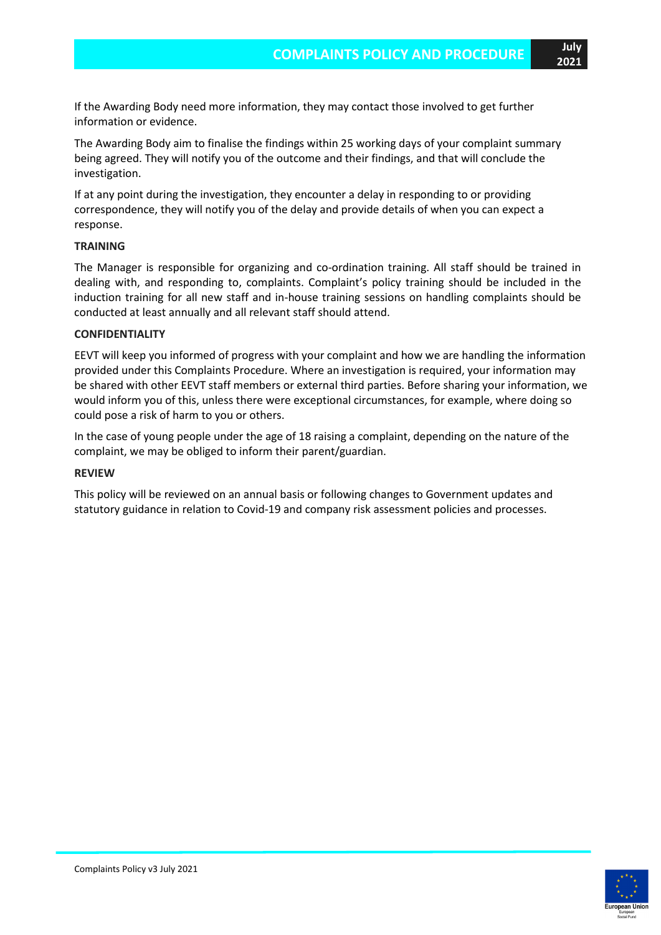If the Awarding Body need more information, they may contact those involved to get further information or evidence.

The Awarding Body aim to finalise the findings within 25 working days of your complaint summary being agreed. They will notify you of the outcome and their findings, and that will conclude the investigation.

If at any point during the investigation, they encounter a delay in responding to or providing correspondence, they will notify you of the delay and provide details of when you can expect a response.

#### **TRAINING**

The Manager is responsible for organizing and co-ordination training. All staff should be trained in dealing with, and responding to, complaints. Complaint's policy training should be included in the induction training for all new staff and in-house training sessions on handling complaints should be conducted at least annually and all relevant staff should attend.

#### **CONFIDENTIALITY**

EEVT will keep you informed of progress with your complaint and how we are handling the information provided under this Complaints Procedure. Where an investigation is required, your information may be shared with other EEVT staff members or external third parties. Before sharing your information, we would inform you of this, unless there were exceptional circumstances, for example, where doing so could pose a risk of harm to you or others.

In the case of young people under the age of 18 raising a complaint, depending on the nature of the complaint, we may be obliged to inform their parent/guardian.

#### **REVIEW**

This policy will be reviewed on an annual basis or following changes to Government updates and statutory guidance in relation to Covid-19 and company risk assessment policies and processes.

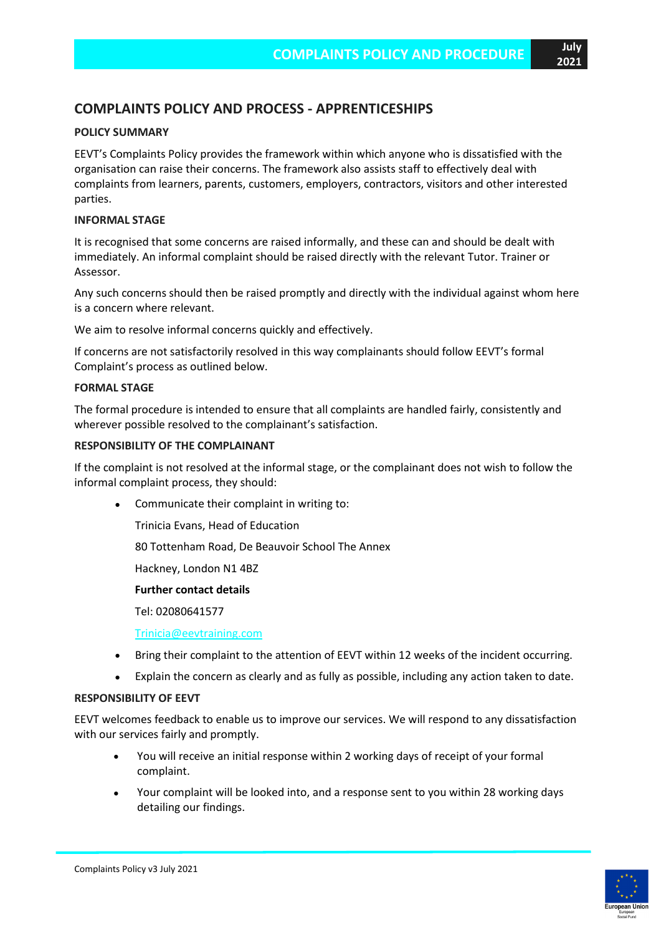## **COMPLAINTS POLICY AND PROCESS - APPRENTICESHIPS**

## **POLICY SUMMARY**

EEVT's Complaints Policy provides the framework within which anyone who is dissatisfied with the organisation can raise their concerns. The framework also assists staff to effectively deal with complaints from learners, parents, customers, employers, contractors, visitors and other interested parties.

#### **INFORMAL STAGE**

It is recognised that some concerns are raised informally, and these can and should be dealt with immediately. An informal complaint should be raised directly with the relevant Tutor. Trainer or Assessor.

Any such concerns should then be raised promptly and directly with the individual against whom here is a concern where relevant.

We aim to resolve informal concerns quickly and effectively.

If concerns are not satisfactorily resolved in this way complainants should follow EEVT's formal Complaint's process as outlined below.

#### **FORMAL STAGE**

The formal procedure is intended to ensure that all complaints are handled fairly, consistently and wherever possible resolved to the complainant's satisfaction.

#### **RESPONSIBILITY OF THE COMPLAINANT**

If the complaint is not resolved at the informal stage, or the complainant does not wish to follow the informal complaint process, they should:

• Communicate their complaint in writing to:

Trinicia Evans, Head of Education

80 Tottenham Road, De Beauvoir School The Annex

Hackney, London N1 4BZ

#### **Further contact details**

Tel: 02080641577

[Trinicia@eevtraining.com](mailto:Trinicia@eevtraining.com)

- Bring their complaint to the attention of EEVT within 12 weeks of the incident occurring.
- Explain the concern as clearly and as fully as possible, including any action taken to date.

### **RESPONSIBILITY OF EEVT**

EEVT welcomes feedback to enable us to improve our services. We will respond to any dissatisfaction with our services fairly and promptly.

- You will receive an initial response within 2 working days of receipt of your formal complaint.
- Your complaint will be looked into, and a response sent to you within 28 working days detailing our findings.

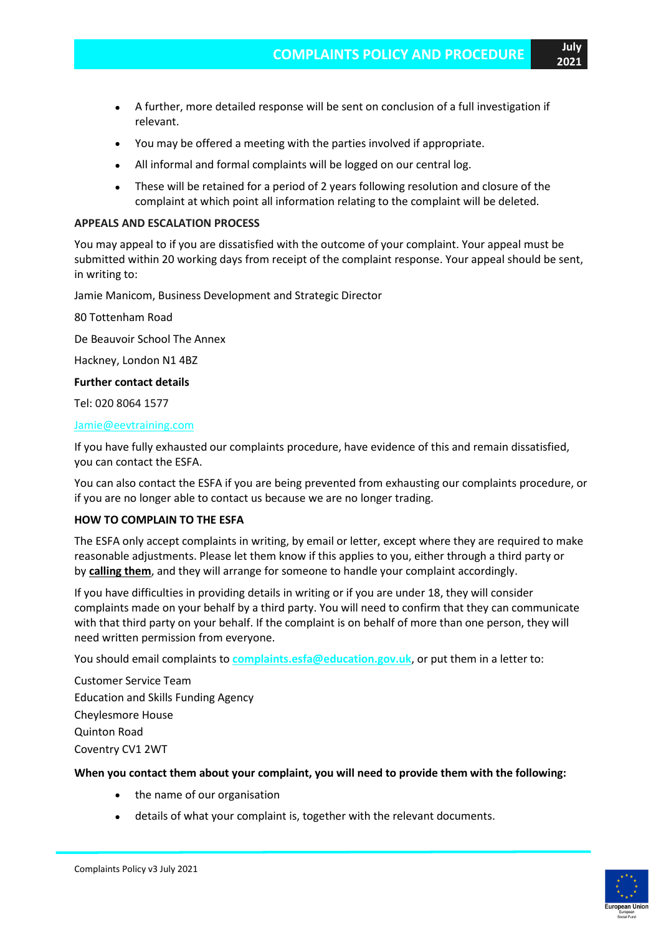- A further, more detailed response will be sent on conclusion of a full investigation if relevant.
- You may be offered a meeting with the parties involved if appropriate.
- All informal and formal complaints will be logged on our central log.
- These will be retained for a period of 2 years following resolution and closure of the complaint at which point all information relating to the complaint will be deleted.

#### **APPEALS AND ESCALATION PROCESS**

You may appeal to if you are dissatisfied with the outcome of your complaint. Your appeal must be submitted within 20 working days from receipt of the complaint response. Your appeal should be sent, in writing to:

Jamie Manicom, Business Development and Strategic Director

80 Tottenham Road

De Beauvoir School The Annex

Hackney, London N1 4BZ

**Further contact details**

Tel: 020 8064 1577

#### [Jamie@eevtraining.com](mailto:Jamie@eevtraining.com)

If you have fully exhausted our complaints procedure, have evidence of this and remain dissatisfied, you can contact the ESFA.

You can also contact the ESFA if you are being prevented from exhausting our complaints procedure, or if you are no longer able to contact us because we are no longer trading.

#### **HOW TO COMPLAIN TO THE ESFA**

The ESFA only accept complaints in writing, by email or letter, except where they are required to make reasonable adjustments. Please let them know if this applies to you, either through a third party or by **[calling](https://www.gov.uk/contact-dfe) them**, and they will arrange for someone to handle your complaint accordingly.

If you have difficulties in providing details in writing or if you are under 18, they will consider complaints made on your behalf by a third party. You will need to confirm that they can communicate with that third party on your behalf. If the complaint is on behalf of more than one person, they will need written permission from everyone.

You should email complaints to **[complaints.esfa@education.gov.uk](http://complaints.esfa@education.gov.uk/)**, or put them in a letter to:

Customer Service Team Education and Skills Funding Agency Cheylesmore House Quinton Road Coventry CV1 2WT

#### **When you contact them about your complaint, you will need to provide them with the following:**

- the name of our organisation
- details of what your complaint is, together with the relevant documents.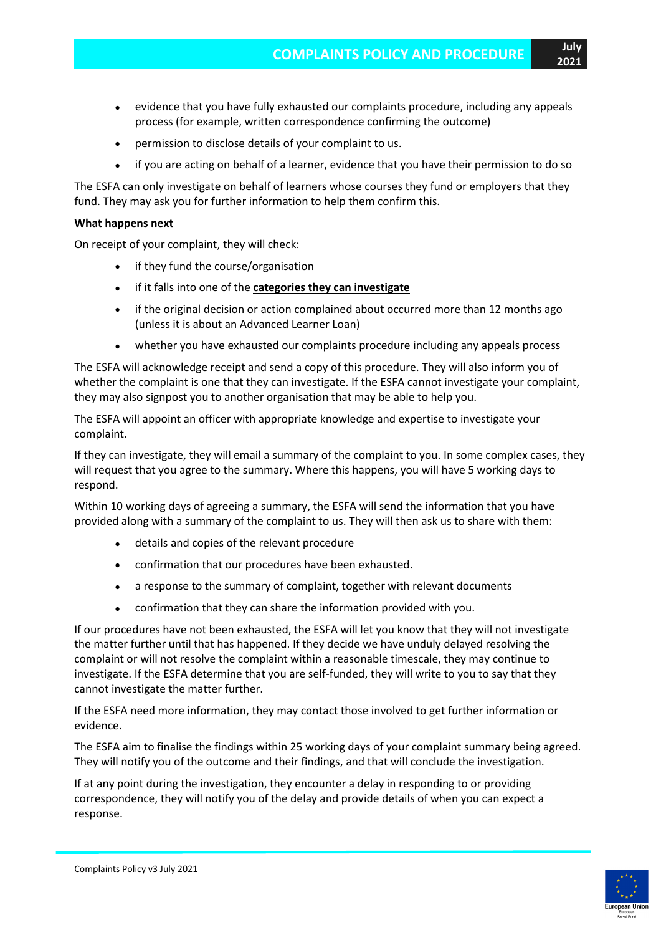- evidence that you have fully exhausted our complaints procedure, including any appeals process (for example, written correspondence confirming the outcome)
- permission to disclose details of your complaint to us.
- if you are acting on behalf of a learner, evidence that you have their permission to do so

The ESFA can only investigate on behalf of learners whose courses they fund or employers that they fund. They may ask you for further information to help them confirm this.

#### **What happens next**

On receipt of your complaint, they will check:

- if they fund the course/organisation
- if it falls into one of the **categories they can [investigate](https://www.gov.uk/government/publications/complaints-about-post-16-education-and-training-provision-funded-by-esfa/complaints-about-post-16-education-and-training-provision-funded-by-esfa#What-ESFA-can-investigate)**
- if the original decision or action complained about occurred more than 12 months ago (unless it is about an Advanced Learner Loan)
- whether you have exhausted our complaints procedure including any appeals process

The ESFA will acknowledge receipt and send a copy of this procedure. They will also inform you of whether the complaint is one that they can investigate. If the ESFA cannot investigate your complaint, they may also signpost you to another organisation that may be able to help you.

The ESFA will appoint an officer with appropriate knowledge and expertise to investigate your complaint.

If they can investigate, they will email a summary of the complaint to you. In some complex cases, they will request that you agree to the summary. Where this happens, you will have 5 working days to respond.

Within 10 working days of agreeing a summary, the ESFA will send the information that you have provided along with a summary of the complaint to us. They will then ask us to share with them:

- details and copies of the relevant procedure
- confirmation that our procedures have been exhausted.
- a response to the summary of complaint, together with relevant documents
- confirmation that they can share the information provided with you.

If our procedures have not been exhausted, the ESFA will let you know that they will not investigate the matter further until that has happened. If they decide we have unduly delayed resolving the complaint or will not resolve the complaint within a reasonable timescale, they may continue to investigate. If the ESFA determine that you are self-funded, they will write to you to say that they cannot investigate the matter further.

If the ESFA need more information, they may contact those involved to get further information or evidence.

The ESFA aim to finalise the findings within 25 working days of your complaint summary being agreed. They will notify you of the outcome and their findings, and that will conclude the investigation.

If at any point during the investigation, they encounter a delay in responding to or providing correspondence, they will notify you of the delay and provide details of when you can expect a response.

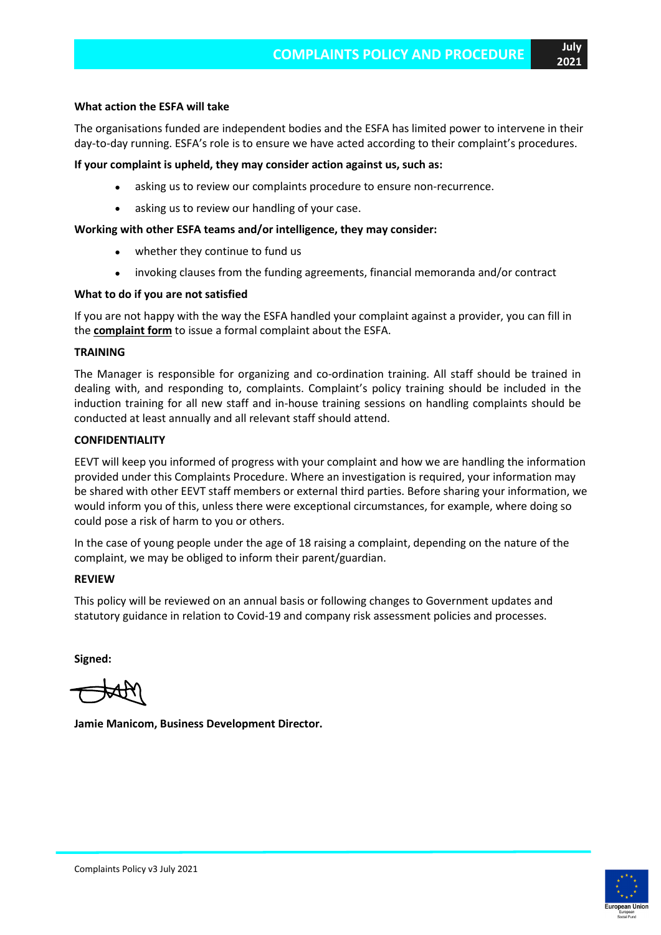### **What action the ESFA will take**

The organisations funded are independent bodies and the ESFA has limited power to intervene in their day-to-day running. ESFA's role is to ensure we have acted according to their complaint's procedures.

### **If your complaint is upheld, they may consider action against us, such as:**

- asking us to review our complaints procedure to ensure non-recurrence.
- asking us to review our handling of your case.

## **Working with other ESFA teams and/or intelligence, they may consider:**

- whether they continue to fund us
- invoking clauses from the funding agreements, financial memoranda and/or contract

## **What to do if you are not satisfied**

If you are not happy with the way the ESFA handled your complaint against a provider, you can fill in the **[complaint](https://form.education.gov.uk/en/AchieveForms/?form_uri=sandbox-publish://AF-Process-f1453496-7d8a-463f-9f33-1da2ac47ed76/AF-Stage-1e64d4cc-25fb-499a-a8d7-74e98203ac00/definition.json&redirectlink=%2Fen&cancelRedirectLink=%2Fen) form** to issue a formal complaint about the ESFA.

#### **TRAINING**

The Manager is responsible for organizing and co-ordination training. All staff should be trained in dealing with, and responding to, complaints. Complaint's policy training should be included in the induction training for all new staff and in-house training sessions on handling complaints should be conducted at least annually and all relevant staff should attend.

## **CONFIDENTIALITY**

EEVT will keep you informed of progress with your complaint and how we are handling the information provided under this Complaints Procedure. Where an investigation is required, your information may be shared with other EEVT staff members or external third parties. Before sharing your information, we would inform you of this, unless there were exceptional circumstances, for example, where doing so could pose a risk of harm to you or others.

In the case of young people under the age of 18 raising a complaint, depending on the nature of the complaint, we may be obliged to inform their parent/guardian.

#### **REVIEW**

This policy will be reviewed on an annual basis or following changes to Government updates and statutory guidance in relation to Covid-19 and company risk assessment policies and processes.

**Signed:**

**Jamie Manicom, Business Development Director.**

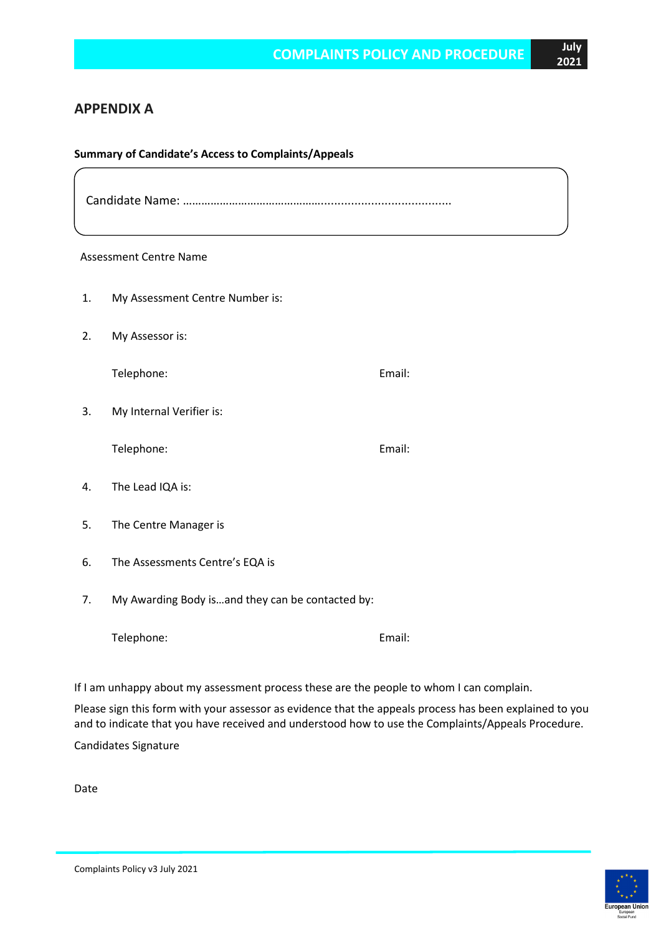## **APPENDIX A**

#### **Summary of Candidate's Access to Complaints/Appeals**

Candidate Name: ……………………………………….......................................

## Assessment Centre Name  $\overline{a}$

- 1. My Assessment Centre Number is:
- 2. My Assessor is:

Telephone: Email:

3. My Internal Verifier is:

Telephone: Email:

- 4. The Lead IQA is:
- 5. The Centre Manager is
- 6. The Assessments Centre's EQA is
- 7. My Awarding Body is…and they can be contacted by:

Telephone: Email:

If I am unhappy about my assessment process these are the people to whom I can complain.

Please sign this form with your assessor as evidence that the appeals process has been explained to you and to indicate that you have received and understood how to use the Complaints/Appeals Procedure.

Candidates Signature

Date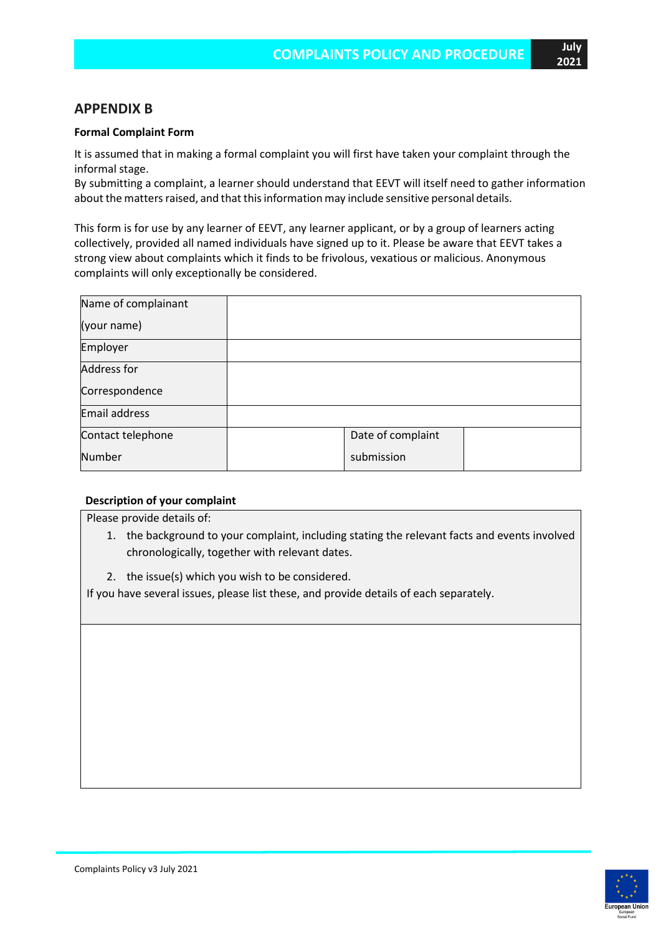## **APPENDIX B**

#### **Formal Complaint Form**

It is assumed that in making a formal complaint you will first have taken your complaint through the informal stage.

By submitting a complaint, a learner should understand that EEVT will itself need to gather information about the matters raised, and that this information may include sensitive personal details.

This form is for use by any learner of EEVT, any learner applicant, or by a group of learners acting collectively, provided all named individuals have signed up to it. Please be aware that EEVT takes a strong view about complaints which it finds to be frivolous, vexatious or malicious. Anonymous complaints will only exceptionally be considered.

| Name of complainant  |                   |  |
|----------------------|-------------------|--|
| (your name)          |                   |  |
| Employer             |                   |  |
| <b>Address for</b>   |                   |  |
| Correspondence       |                   |  |
| <b>Email address</b> |                   |  |
| Contact telephone    | Date of complaint |  |
| <b>Number</b>        | submission        |  |

#### **Description of your complaint**

Please provide details of:

- 1. the background to your complaint, including stating the relevant facts and events involved chronologically, together with relevant dates.
- 2. the issue(s) which you wish to be considered.

If you have several issues, please list these, and provide details of each separately.

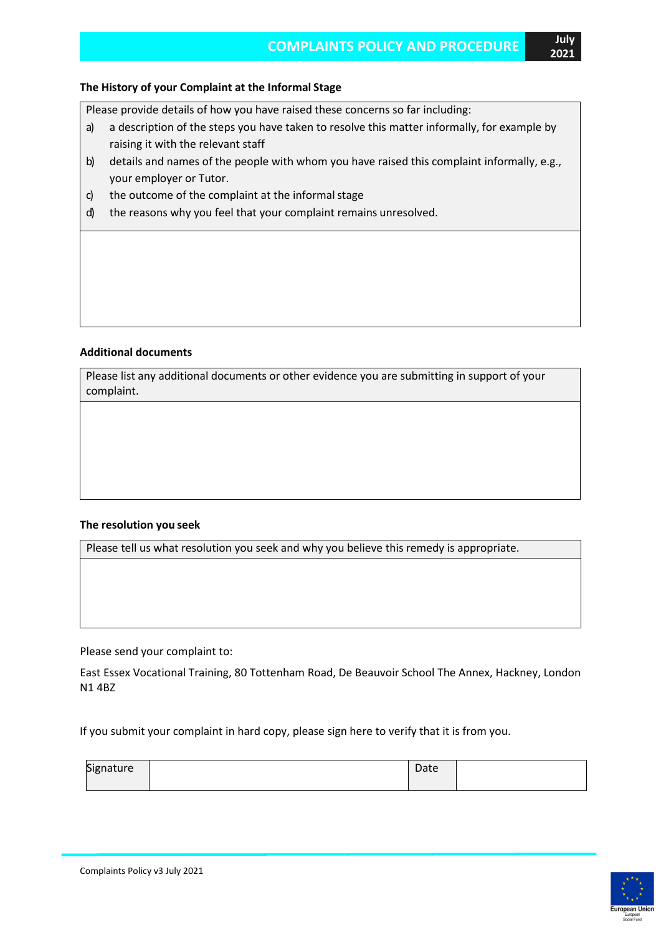#### **The History of your Complaint at the Informal Stage**

Please provide details of how you have raised these concerns so far including:

- a) a description of the steps you have taken to resolve this matter informally, for example by raising it with the relevant staff
- b) details and names of the people with whom you have raised this complaint informally, e.g., your employer or Tutor.
- c) the outcome of the complaint at the informal stage
- d) the reasons why you feel that your complaint remains unresolved.

#### **Additional documents**

Please list any additional documents or other evidence you are submitting in support of your complaint.

#### **The resolution you seek**

Please tell us what resolution you seek and why you believe this remedy is appropriate.

Please send your complaint to:

East Essex Vocational Training, 80 Tottenham Road, De Beauvoir School The Annex, Hackney, London N1 4BZ

If you submit your complaint in hard copy, please sign here to verify that it is from you.

| Siør<br>.<br>pignature | Date |  |
|------------------------|------|--|
|                        |      |  |